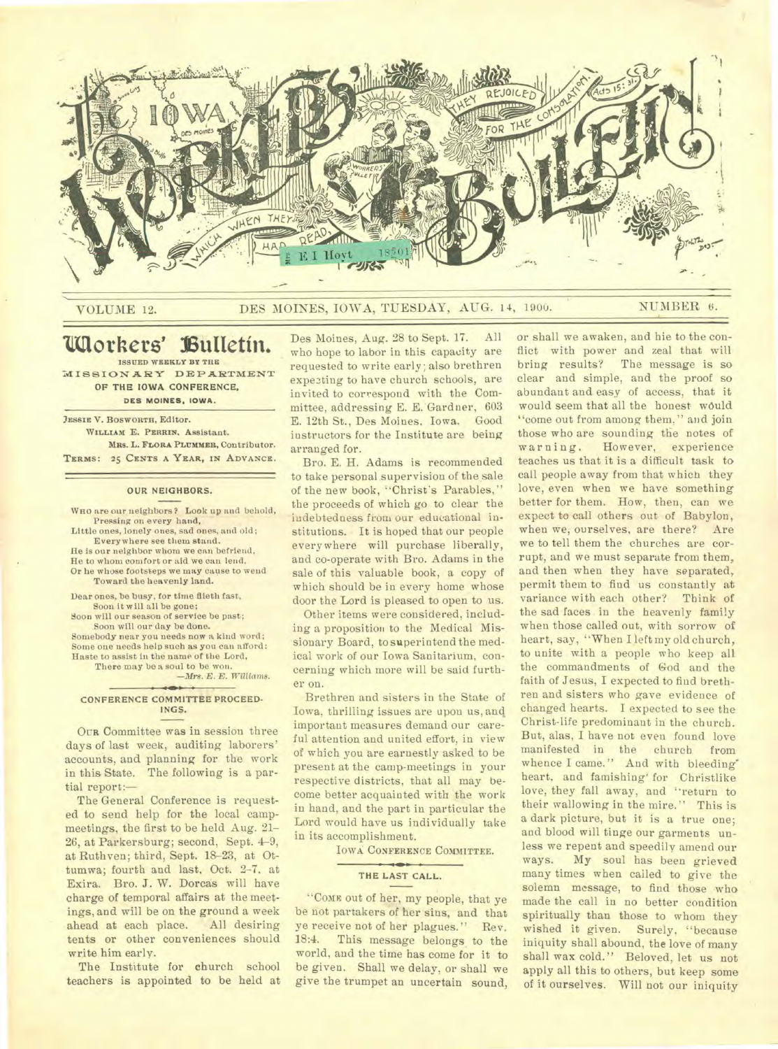

### VOLUME 12. DES MOINES, IOWA, TUESDAY, AUG. 14, 1900. NUMBER 6.

### **'Mothers' 13 ultetin. ISSUED WEEKLY BY THE**

**MISSIONARY DEPARTMENT**  OF THE IOWA CONFERENCE, **DES MOINES. IOWA.** 

**;ISSUE V. BOSWORTH,** Editor. WILLIAM E. PERRIN. Assistant. Mits. L. **FLORA PLUMMER,** Contributor. **TERMS: 25 CENTS A YEAR, IN ADVANCE.** 

#### OUR NEIGHBORS.

**WHO** are our neighbors? Look up and behold, Pressing on every hand,

Little ones, lonely ones, sad ones, and old; Everywhere see them stand. He is our neighbor whom we can befriend, He to whom comfort or aid we can lend, Or he whose footsteps we may cause to wend Toward the heavenly land.

Dear ones, be busy, for time flieth fast, Soon it will all be gone;

Soon will our season of service be past; .Soon will our day be done.

Somebody near you needs now a kind word; Some one needs help such as you can afford: Haste to assist in the name of the Lord,

There may be a soul to be won. *—Mrs. E. E. Williams.* 

### CONFERENCE COMMITTEE PROCEED. INGS.

OUR Committee was in session three days of last week, auditing laborers' accounts, and planning for the work in this State. The following is a partial report:—

The General Conference is requested to send help for the local campmeetings, the first to be held Aug. 21- 26, at Parkersburg; second, Sept. 4-9, at Ruthven; third, Sept. 18-23, at Ottumwa; fourth and last, Oct. 2-7, at Exira. Bro. J. W. Dorcas will have charge of temporal affairs at the meetings, and will be on the ground a week ahead at each place. tents or other conveniences should write him early.

The Institute for church school teachers is appointed to be held at Des Moines, Aug. 28 to Sept. 17. All who hope to labor in this capacity are requested to write early; also brethren expe3ting to have church schools, are invited to correspond with the Committee, addressing E. E. Gardner, 603 E. 12th St., Des Moines, Iowa. Good instructors for the Institute are being arranged for.

Bro. E. H. Adams is recommended to take personal supervision of the sale of the new book, "Christ's Parables," the proceeds of which go to clear the indebtedness from our educational institutions. It is hoped that our people every where will purchase liberally, and co-operate with Bro. Adams in the sale of this valuable book, a copy of which should be in every home whose door the Lord is pleased to open to us.

Other items were considered, including a proposition to the Medical Missionary Board, to superintend the medical work of our Iowa Sanitarium, concerning which more will be said further on.

Brethren and sisters in the State of Iowa, thrilling issues are upon us, and important measures demand our careful attention and united effort, in view of which you are earnestly asked to be present at the camp-meetings in your respective districts, that all may become better acquainted with the work in hand, and the part in particular the Lord would have us individually take in its accomplishment.

IOWA CONFERENCE COMMITTEE.

#### THE LAST CALL.

"COME out of her, my people, that ye be not partakers of her sins, and that ye receive not of her plagues." Rev. 18:4. This message belongs to the world, and the time has come for it to be given. Shall we delay, or shall we give the trumpet an uncertain sound, or shall we awaken, and hie to the conflict with power and zeal that will bring results? The message is so clear and simple, and the proof so abundant and easy of access, that it would seem that all the honest would "come out from among them," and join those who are sounding the notes of warning. However, experience teaches us that it is a difficult task to call people away from that which they love, even when we have something better for them. How, then, can we expect to call others out of Babylon, when we, ourselves, are there? Are we to tell them the churches are corrupt, and we must separate from them, and then when they have separated, permit them to find us constantly at variance with each other? Think of the sad faces in the heavenly family when those called out, with sorrow of heart, say, "When I left my old church, to unite with a people who keep all the commandments of God and the faith of Jesus, I expected to find brethren and sisters who gave evidence of changed hearts. I expected to see the Christ-life predominant in the church. But, alas, I have not even found love manifested in the church from whence I came." Aud with bleeding' heart, and famishing' for Christlike love, they fall away, and "return to their wallowing in the mire." This is a dark picture, but it is a true one; and blood will tinge our garments unless we repent and speedily amend our ways. **My** soul has been grieved many times when called to give the solemn message, to find those who made the call in no better condition spiritually than those to whom they wished it given. Surely, "because iniquity shall abound, the love of many shall wax cold." Beloved, let us not apply all this to others, but keep some of it ourselves. Will not our iniquity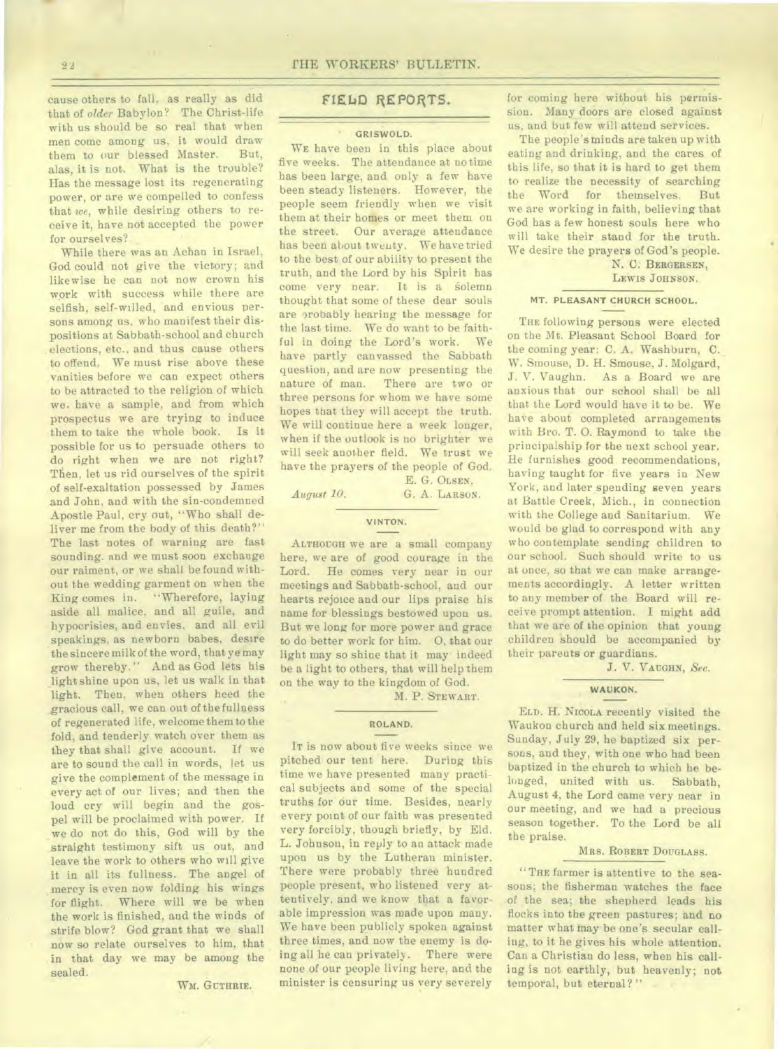cause others to fall, as really as did that of *older* Babylon? The Christ-life with us should be so real that when men come among us, it would draw<br>them to our blessed Master. But. them to our blessed Master. alas, it is not. What is the trouble? Has the message lost its regenerating power, or are we compelled to confess that *we*, while desiring others to receive it, have not accepted the power for ourselves?

While there was an Achan in Israel, God could not give the victory; and likewise he can not now crown his work with success while there are selfish, self-willed, and envious persons among us, who manifest their dispositions at Sabbath-school and church elections, etc., and thus cause others to offend. We must rise above these vanities before we can expect others to be attracted to the religion of which we. have a sample, and from which prospectus we are trying to induce them to take the whole book. Is it possible for us to persuade others to do right when we are not right? Then, let us rid ourselves of the spirit of self-exaltation possessed by James and John. and with the sin-condemned Apostle Paul, cry out, "Who shall deliver me from the body of this death?" The last notes of warning are fast sounding. and we must soon exchange our raiment, or we shall be found without the wedding garment on when the King comes in. "Wherefore, laying aside all malice, and all guile, and hypocrisies, and envies, and all evil speakings, as newborn babes, desire the sincere milk of the word, that ye may grow thereby." And as God lets his light shine upon us, let us walk in that light. Then, when others heed the gracious call, we can out of the fullness of regenerated life, welcome them to the fold, and tenderly watch over them as they that shall give account. If we are to sound the call in words, let us give the complement of the message in every act of our lives; and then the loud cry will begin and the gospel will be proclaimed with power. If we do not do this, God will by the straight testimony sift us out, and leave the work to others who will give it in all its fullness. The angel of mercy is even now folding his wings for flight. Where will we be when the work is finished, and the winds of strife blow? God grant that we shall now so relate ourselves to him, that in that day we may be among the sealed.

WM. GUTHRIE.

### FIELD REPORTS.

#### GRISWOLD.

WE have been in this place about five weeks. The attendance at no time has been large, and only a few have been steady listeners. However, the people seem friendly when we visit them at their homes or meet them on the street. Our average attendance has been about twenty. We have tried to the best of our ability to present the truth, and the Lord by his Spirit has come very near. It is a solemn thought that some of these dear souls are probably hearing the message for the last time. We do want to be faithful in doing the Lord's work. We have partly canvassed the Sabbath question, and are now presenting the nature of man. There are two or three persons for whom we have some hopes that they will accept the truth. We will continue here a week longer, when if the outlook is no brighter we will seek another field. We trust we have the prayers of the people of God.

*August 10.* G. A. LARSON.

E. G. OLSEN,

# VINTON.

ALTHOUGH we are a small company here, we are of good courage in the Lord. He comes very near in our meetings and Sabbath-school, and our hearts rejoice and our lips praise his name for blessings bestowed upon us. But we long for more power and grace to do better work for him. 0, that our light may so shine that it may indeed be a light to others, that will help them on the way to the kingdom of God.

M. P. STEWART.

### ROLAND.

IT is now about five weeks since we pitched our tent here. During this time we have presented many practical subjects and some of the special truths for our time. Besides, nearly every point of our faith was presented very forcibly, though briefly, by Eld. L. Johnson, in reply to an attack made upon us by the Lutheran minister. There were probably three hundred people present, who listened very attentively, and we know that a favorable impression was made upon many. We have been publicly spoken against three times, and now the enemy is doing all he can privately. There were none of our people living here, and the minister is censuring us very severely

for coming here without his permission. Many doors are closed against us, and but few will attend services.

The people's minds are taken up with eating and drinking, and the cares of this life, so that it is hard to get them to realize the necessity of searching the Word for themselves. But we are working in faith, believing that God has a few honest souls here who will take their stand for the truth. We desire the prayers of God's people.

N. C. BERGERSEN,

LEWIS JOHNSON.

### **MT. PLEASANT CHURCH SCHOOL.**

THE following persons were elected on the Mt. Pleasant School Board for the coming year: C. A. Washburn, C. W. Smouse, D. H. Smouse, J. Molgard, J. V. Vaughn. As a Board we are anxious that our school shall be all that the Lord would have it to be. We have about completed arrangements with Bro. T. 0. Raymond to take the principalship for the next school year. He furnishes good recommendations, having taught for five years in New York, and later spending seven years at Battle Creek, Mich., in connection with the College and Sanitarium. We would be glad to correspond with any who contemplate sending children to our school. Such should write to us at once, so that we can make arrangements accordingly. A letter written to any member of the Board will receive prompt attention. I might add that we are of the opinion that young children should be accompanied by their parents or guardians.

J. V. VAUGHN, *Sec.* 

### WAUKON.

ELD. H. NICOLA recently visited the Waukon church and held six meetings. Sunday, July 29, he baptized six persons, and they, with one who had been baptized in the church to which he belonged, united with us. Sabbath, August 4, the Lord came very near in our meeting, and we had a precious season together. To the Lord be all the praise.

### MRS. ROBERT DOUGLASS.

"THE farmer is attentive to the seasons; the fisherman watches the face of the sea; the shepherd leads his flocks into the green pastures; and no matter what may be one's secular calling, to it he gives his whole attention. Can a Christian do less, when his calling is not earthly, but heavenly; not temporal, but eternal?"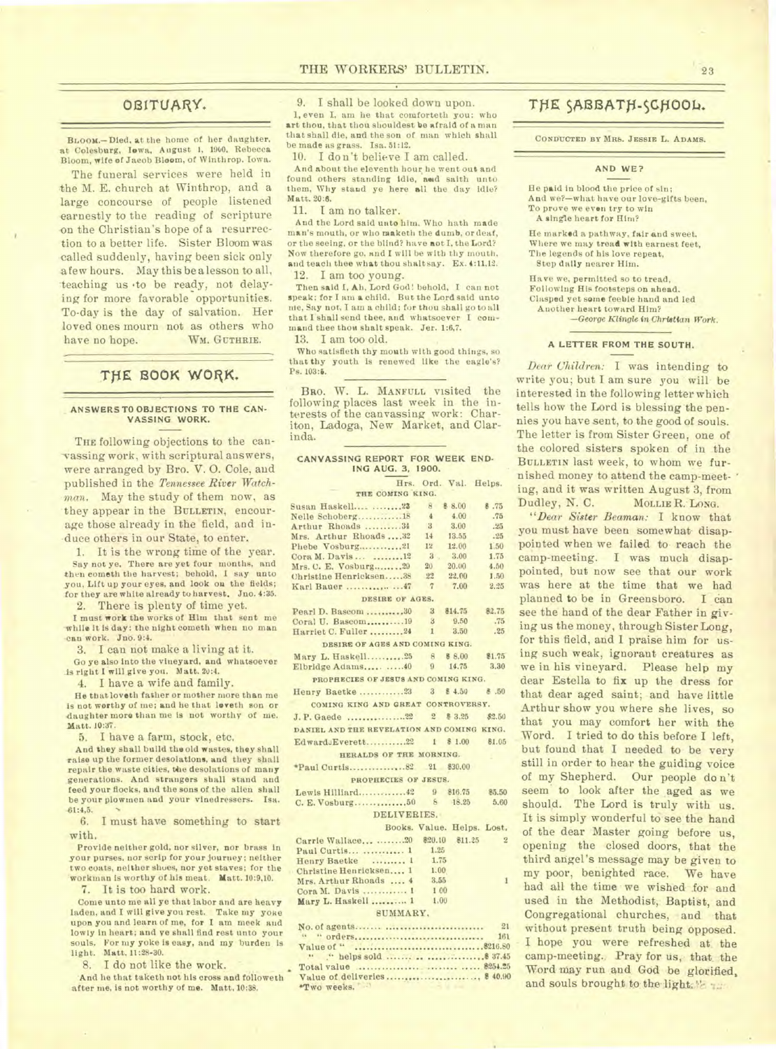### OBITUARY.

**BLOOM.-**Died, at the home of her daughter, at Colesburg, Iowa, August 1, 1900. Rebecca Bloom, wife of Jaeob Bloom, of Winthrop. Iowa.

The funeral services were held in the M. E. church at Winthrop, and a large concourse of people listened earnestly to the reading of scripture -on the Christian's hope of a resurrection to a better life. Sister Bloom was called suddenly, having been sick only a few hours. May this be a lesson to all, teaching us .to be ready, not delaying for more favorable opportunities. To-day is the day of salvation. Her loved ones mourn not as others who have no hope. WM. GUTHRIE.

## THE BOOK WORK.

#### **ANSWERS TO OBJECTIONS TO THE CAN-VASSING WORK.**

THE following objections to the canvassing work, with scriptural answers, were arranged by Bro. V. 0. Cole, and published in the *Tennessee River Watchman.* May the study of them now, as they appear in the BULLETIN, encourage those already in the field, and induce others in our State, to enter.

1. It is the wrong time of the year. Say not ye, There are yet four months, and then cometh the harvest; behold, I say unto you, Lift up your eyes, and look ou the fields; for they are white already to harvest. Jno. 4:35.

2. There is plenty of time yet.

I must work the works of Him that sent me while it is day: the night cometh when no man can work. Jno. 9:4.

3. I can not make a living at it.

Go ye also into the vineyard, and whatsoever is right I will give you. Matt. 20:4.

4. I have a wife and family.

He that lo veth father or mother more than me is not worthy of me; and he that leveth son or daughter more than me is not worthy of me. Matt. 10:37.

5. I have a farm, stock, etc.

And they shall build the old wastes, they shall raise up the former desolations, and they shall repair the waste cities, the desolations of many generations. And strangers shall stand and feed your flocks, and the sons of the alien shall be your plowmen and your vinedressers. Isa. el:4,5.

6. I must have something to start with.

Provide neither gold, nor silver, nor brass in your purses, nor scrip for your journey; neither two coats, neither shoes, nor yet staves; for the workman is worthy of his meat. Matt. 10:9,10.

7. It is too hard work.

Come unto me all ye that labor and are heavy laden, and I will give you rest. Take my yoke upon you and learn of me, for I am meek and lowly in heart; and ye shall find rest unto your souls. For my yoke is easy, and my burden is light. Matt. 11:28-30.

8. I do not like the work.

And he that taketh not his cross and followeth after me, is not worthy of me. Matt, 10:38.

9. I shall be looked down upon.

1, even I, am he that comforteth you: who art thou, that thou shouldest be afraid of a man that shall die, and the son of man which shall be made as grass. Isa. 51:12.

10. I don't believe I am called.

And about the eleventh hour he went out and found others standing **idle, mad** saith unto them, Why stand ye here all the day idle? Matt. 20:6.

11. I am no talker.

And the Lord said unto him. Who hath made man's mouth, or who reaketh the dumb, or deaf, or the seeing, or the blind? have aot I, the Lord? Now therefore go, and I will be with thy mouth. and teach thee what thou shaltsay. Ex. 4:11,12. 12. I am too young.

Then said I, Ah, Lord God! behold, I can not speak; for I am **a** child. But the Lord said unto me, Say not, I am a child; for thou shall go to all that I shall send thee, and whatsoever I command thee thou shalt speak. Jer. 1:6,7.

13. I am too old.

Who satisfieth thy mouth with good things, so that thy youth is renewed like the eagle's? Ps. 103:5.

BRO. W. L. MANFULL visited the following places last week in the interests of the canvassing work: Chariton, Ladoga, New Market, and Clarinda.

| CANVASSING REPORT FOR WEEK END- |  |  |  |                       |  |  |  |
|---------------------------------|--|--|--|-----------------------|--|--|--|
| ING AUG. 3, 1900.               |  |  |  |                       |  |  |  |
|                                 |  |  |  | Hrs. Ord. Val. Helps. |  |  |  |

| THE COMING KING.                           |               |             |        |
|--------------------------------------------|---------------|-------------|--------|
| Susan Haskell  23                          | $\mathbb{R}$  | \$ 8.00     | 8.75   |
| Nelle Schoberg18                           | $\frac{4}{3}$ | 4.00        | .75    |
| Arthur Rhoads 34                           | $3 -$         | 3.00        | .25    |
| Mrs. Arthur Rhoads32                       | 14            | 13.55       | .25    |
| Phebe Vosburg21                            | 12            | 12.00       | 1.50   |
| Cora M. Davis   12                         | $3 -$         | 3.00        | 1.75   |
| Mrs. C. E. Vosburg29                       | 20            | 20.00       | 4.50   |
| Christine Henricksen38                     | 22            | 22.00       | 1.50   |
| Karl Bauer 47                              |               | $7 \t 7.00$ | 2.25   |
| DESIRE OF AGES.                            |               |             |        |
| Pearl D. Bascom 30 3 \$14.75               |               |             | 82.75  |
| Coral U. Bascom19 3                        |               | 9.50        | .75    |
| Harriet C. Fuller 24 1 3.50                |               |             | .25    |
| DESIRE OF AGES AND COMING KING.            |               |             |        |
| Mary L. Haskell25 8 \$8.00 \$1.75          |               |             |        |
| Elbridge Adams  40 9 14.75 3.30            |               |             |        |
| PROPHECIES OF JESUS AND COMING KING.       |               |             |        |
| Henry Baetke  3 3 \$ 4.50 & 50             |               |             |        |
| COMING KING AND GREAT CONTROVERSY.         |               |             |        |
|                                            |               |             | \$2.50 |
| DANIEL AND THE REVELATION AND COMING KING. |               |             |        |
| Edward Everett22 1 \$1.00 \$1.05           |               |             |        |
| HERALDS OF THE MORNING.                    |               |             |        |
|                                            |               |             |        |
|                                            |               |             |        |
| PROPHECIES OF JESUS.                       |               |             |        |
| Lewis Hilliard 42 9 \$16.75 \$5.50         |               |             |        |
|                                            |               |             | 5.60   |
| DELIVERIES.                                |               |             |        |
| Books. Value. Helps. Lost.                 |               |             |        |
| Carrie Wallace 20 \$20.10 \$11.25 2        |               |             |        |
| Paul Curtis  1                             | 1.25          |             |        |
| Henry Baetke  1 1.75                       |               |             |        |
| Christine Henricksen 1 1.00<br>¥           |               |             |        |
| Mrs. Arthur Rhoads  4 3.55                 |               |             | 1      |
| Cora M. Davis  1                           | 1 00          |             |        |
| Mary L. Haskell  1                         | 1,00          |             |        |
|                                            |               |             |        |

#### SUMMARY,

| *Two weeks. |  |
|-------------|--|

# THE SABBATH-SCHOOL.

**CONDUCTED BY MRS. JESSIE** L. **ADAMS.** 

#### **AND WE?**

He paid in blood the price of sin; And we?-what have our love-gifts been, To prove we even try to win A single heart for Him?

He marked a pathway, fair and sweet, Where we may tread with earnest feet, The legends of his love repeat, Step daily nearer Him.

Have we, permitted so to tread, Following His footsteps on ahead. Clasped yet some feeble hand and led Another heart toward Him? *-George Mingle* in Christian Work.

### **A LETTER FROM THE SOUTH.**

*Dear Children:* I was intending to write you; but I am sure you will- be interested in the following letter which tells how the Lord is blessing the pennies you have sent, to the good of souls. The letter is from Sister Green, one of the colored sisters spoken of in the BULLETIN last week, to whom we furnished money to attend the camp-meet- ' ing, and it was written August 3, from Dudley, N. C. MOLLIE R. LONG.

*"Dear Sister Beaman:* I know that you must have been somewhat- disappointed when we failed to reach the camp-meeting. I was much disappointed, but now see that our work was here at the time that we had planned to be in Greensboro. I can see the hand of the dear Father in giving us the money, through Sister Long, for this field, and I praise him for using such weak, ignorant creatures as we in his vineyard. Please help my dear Estella to fix up the dress for that dear aged saint; and have little Arthur show you where she lives, so that you may comfort her with the Word. I tried to do this before I left, but found that I needed to be very still in order to hear the guiding voice of my Shepherd. Our people do n't seem to look after the aged as we should. The Lord is truly with us. It is simply wonderful to see the hand of the dear Master going before us, opening the closed doors, that the third angel's message may be given to my poor, benighted race. We have had all the time we wished for and used in the Methodist, Baptist, and Congregational churches, and that without present truth being opposed. I hope you were refreshed at the camp-meeting., Pray for us, that the Word may run and God be glorified, and souls brought to the light."